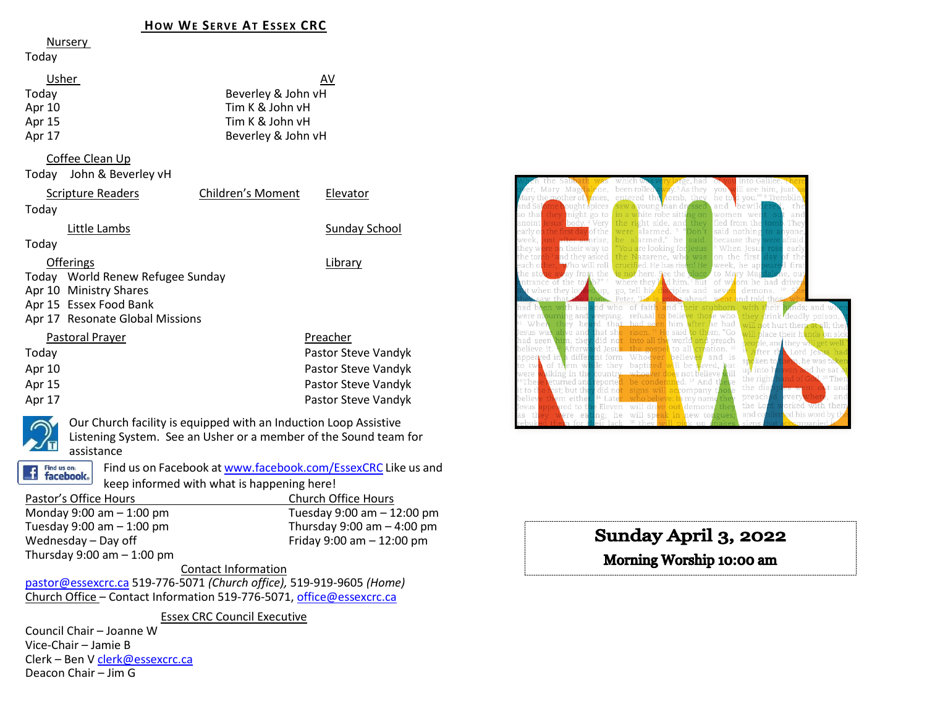#### **HOW WE SERVE AT ESSEX CRC**

#### Nursery

#### Today

| Usher  | AV                 |
|--------|--------------------|
| Today  | Beverley & John vH |
| Apr 10 | Tim K & John vH    |
| Apr 15 | Tim K & John vH    |
| Apr 17 | Beverley & John vH |
|        |                    |

#### Coffee Clean Up

Today John & Beverley vH

| <b>Scripture Readers</b>         | Children's Moment | Elevator            |
|----------------------------------|-------------------|---------------------|
| Today                            |                   |                     |
| Little Lambs                     |                   | Sunday School       |
| Today                            |                   |                     |
| <b>Offerings</b>                 |                   | Library             |
| Today World Renew Refugee Sunday |                   |                     |
| Apr 10 Ministry Shares           |                   |                     |
| Apr 15 Essex Food Bank           |                   |                     |
| Apr 17 Resonate Global Missions  |                   |                     |
| Pastoral Prayer                  |                   | Preacher            |
| Today                            |                   | Pastor Steve Vandyk |
| Apr 10                           |                   | Pastor Steve Vandyk |
| Apr 15                           |                   | Pastor Steve Vandyk |

Apr 17 Pastor Steve Vandyk



Our Church facility is equipped with an Induction Loop Assistive Listening System. See an Usher or a member of the Sound team for assistance



Find us on Facebook a[t www.facebook.com/EssexCRC](http://www.facebook.com/EssexCRC) Like us and keep informed with what is happening here! Pastor's Office Hours Church Office Hours

| Charge Directions              |
|--------------------------------|
| Tuesday $9:00$ am $-12:00$ pm  |
| Thursday $9:00$ am $-$ 4:00 pm |
| Friday 9:00 am $-$ 12:00 pm    |
|                                |
|                                |

Contact Information

[pastor@essexcrc.ca](mailto:pastor@essexcrc.ca) 519-776-5071 *(Church office),* 519-919-9605 *(Home)* Church Office – Contact Information 519-776-5071[, office@essexcrc.ca](mailto:office@essexcrc.ca)

Essex CRC Council Executive

Council Chair – Joanne W Vice-Chair – Jamie B Clerk – Ben V [clerk@essexcrc.ca](mailto:clerk@essexcrc.ca) Deacon Chair – Jim G



# Sunday April 3, 2022

# Morning Worship 10:00 am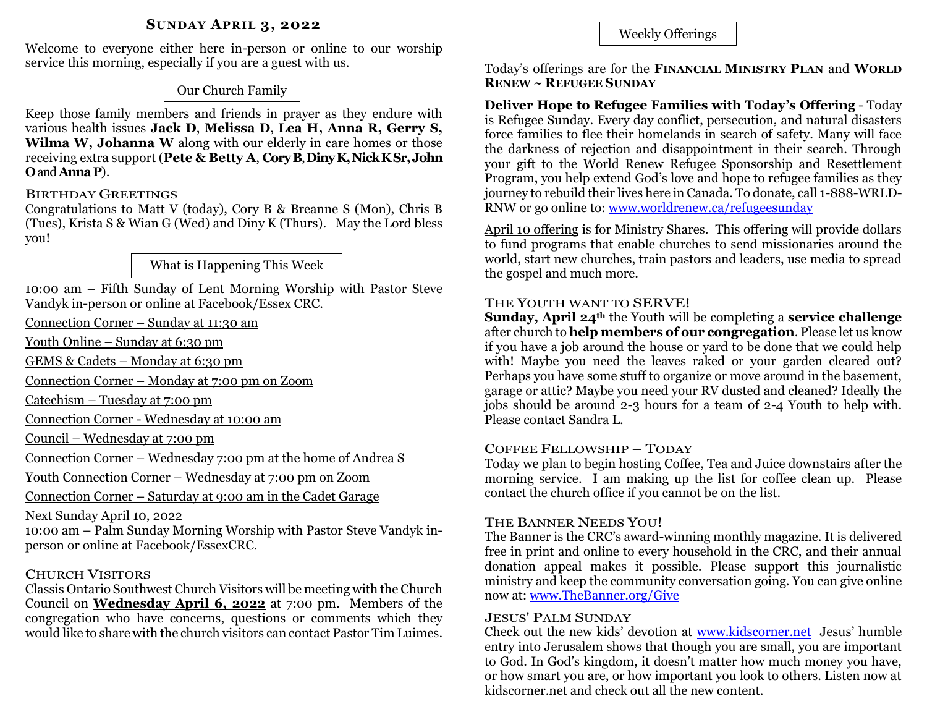Welcome to everyone either here in-person or online to our worship service this morning, especially if you are a guest with us.

Our Church Family

Keep those family members and friends in prayer as they endure with various health issues **Jack D**, **Melissa D**, **Lea H, Anna R, Gerry S, Wilma W, Johanna W** along with our elderly in care homes or those receiving extra support (**Pete & Betty A**, **CoryB**, **DinyK, Nick KSr,John O**and **AnnaP**).

# BIRTHDAY GREETINGS

Congratulations to Matt V (today), Cory B & Breanne S (Mon), Chris B (Tues), Krista S & Wian G (Wed) and Diny K (Thurs). May the Lord bless you!

What is Happening This Week

10:00 am – Fifth Sunday of Lent Morning Worship with Pastor Steve Vandyk in-person or online at Facebook/Essex CRC.

Connection Corner – Sunday at 11:30 am

Youth Online – Sunday at 6:30 pm

GEMS & Cadets – Monday at 6:30 pm

Connection Corner – Monday at 7:00 pm on Zoom

Catechism – Tuesday at 7:00 pm

Connection Corner - Wednesday at 10:00 am

Council – Wednesday at 7:00 pm

Connection Corner – Wednesday 7:00 pm at the home of Andrea S

Youth Connection Corner – Wednesday at 7:00 pm on Zoom

Connection Corner – Saturday at 9:00 am in the Cadet Garage

Next Sunday April 10, 2022

10:00 am – Palm Sunday Morning Worship with Pastor Steve Vandyk inperson or online at Facebook/EssexCRC.

# CHURCH VISITORS

Classis Ontario Southwest Church Visitors will be meeting with the Church Council on **Wednesday April 6, 2022** at 7:00 pm. Members of the congregation who have concerns, questions or comments which they would like to share with the church visitors can contact Pastor Tim Luimes.

Weekly Offerings

Today's offerings are for the **FINANCIAL MINISTRY PLAN** and **WORLD RENEW ~ REFUGEE SUNDAY**

**Deliver Hope to Refugee Families with Today's Offering** - Today is Refugee Sunday. Every day conflict, persecution, and natural disasters force families to flee their homelands in search of safety. Many will face the darkness of rejection and disappointment in their search. Through your gift to the World Renew Refugee Sponsorship and Resettlement Program, you help extend God's love and hope to refugee families as they journey to rebuild their lives here in Canada. To donate, call 1-888-WRLD-RNW or go online to: [www.worldrenew.ca/refugeesunday](http://www.worldrenew.ca/refugeesunday) 

April 10 offering is for Ministry Shares. This offering will provide dollars to fund programs that enable churches to send missionaries around the world, start new churches, train pastors and leaders, use media to spread the gospel and much more.

## THE YOUTH WANT TO SERVE!

**Sunday, April 24th** the Youth will be completing a **service challenge** after church to **help members of our congregation**. Please let us know if you have a job around the house or yard to be done that we could help with! Maybe you need the leaves raked or your garden cleared out? Perhaps you have some stuff to organize or move around in the basement, garage or attic? Maybe you need your RV dusted and cleaned? Ideally the jobs should be around 2-3 hours for a team of 2-4 Youth to help with. Please contact Sandra L.

## COFFEE FELLOWSHIP – TODAY

Today we plan to begin hosting Coffee, Tea and Juice downstairs after the morning service. I am making up the list for coffee clean up. Please contact the church office if you cannot be on the list.

## THE BANNER NEEDS YOU!

The Banner is the CRC's award-winning monthly magazine. It is delivered free in print and online to every household in the CRC, and their annual donation appeal makes it possible. Please support this journalistic ministry and keep the community conversation going. You can give online now at[: www.TheBanner.org/Give](http://www.thebanner.org/Give)

#### JESUS' PALM SUNDAY

Check out the new kids' devotion at [www.kidscorner.net](http://www.kidscorner.net/) Jesus' humble entry into Jerusalem shows that though you are small, you are important to God. In God's kingdom, it doesn't matter how much money you have, or how smart you are, or how important you look to others. Listen now at kidscorner.net and check out all the new content.